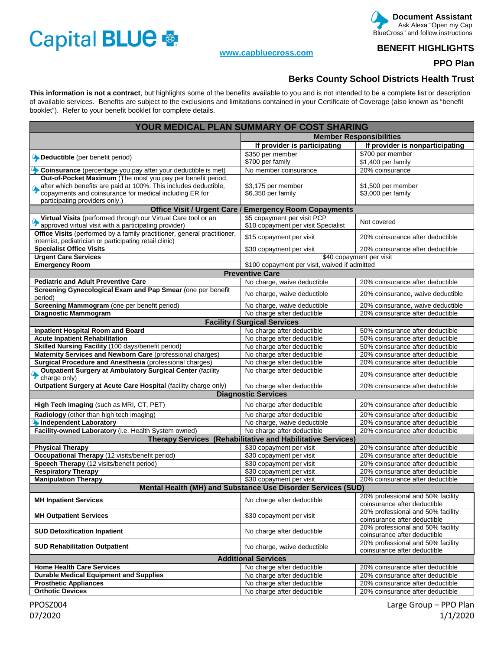## Capital BLUE

## **www.capbluecross.com**

 **Document Assistant**  Ask Alexa "Open my Cap BlueCross" and follow instructions

**BENEFIT HIGHLIGHTS** 

**PPO Plan** 

## **Berks County School Districts Health Trust**

**This information is not a contract**, but highlights some of the benefits available to you and is not intended to be a complete list or description of available services. Benefits are subject to the exclusions and limitations contained in your Certificate of Coverage (also known as "benefit booklet"). Refer to your benefit booklet for complete details.

| YOUR MEDICAL PLAN SUMMARY OF COST SHARING                                         |                                     |                                                                   |
|-----------------------------------------------------------------------------------|-------------------------------------|-------------------------------------------------------------------|
|                                                                                   | <b>Member Responsibilities</b>      |                                                                   |
|                                                                                   | If provider is participating        | If provider is nonparticipating                                   |
|                                                                                   | \$350 per member                    | \$700 per member                                                  |
| Deductible (per benefit period)                                                   | \$700 per family                    | \$1,400 per family                                                |
| Coinsurance (percentage you pay after your deductible is met)                     | No member coinsurance               | 20% coinsurance                                                   |
| Out-of-Pocket Maximum (The most you pay per benefit period,                       |                                     |                                                                   |
| after which benefits are paid at 100%. This includes deductible,                  | \$3,175 per member                  | \$1,500 per member                                                |
| copayments and coinsurance for medical including ER for                           | \$6,350 per family                  | \$3,000 per family                                                |
| participating providers only.)                                                    |                                     |                                                                   |
| <b>Office Visit / Urgent Care / Emergency Room Copayments</b>                     |                                     |                                                                   |
| Virtual Visits (performed through our Virtual Care tool or an                     | \$5 copayment per visit PCP         | Not covered                                                       |
| approved virtual visit with a participating provider)                             | \$10 copayment per visit Specialist |                                                                   |
| Office Visits (performed by a family practitioner, general practitioner,          | \$15 copayment per visit            | 20% coinsurance after deductible                                  |
| internist, pediatrician or participating retail clinic)                           |                                     |                                                                   |
| <b>Specialist Office Visits</b>                                                   | \$30 copayment per visit            | 20% coinsurance after deductible                                  |
| <b>Urgent Care Services</b>                                                       | \$40 copayment per visit            |                                                                   |
| <b>Emergency Room</b><br>\$100 copayment per visit, waived if admitted            |                                     |                                                                   |
|                                                                                   | <b>Preventive Care</b>              |                                                                   |
| <b>Pediatric and Adult Preventive Care</b>                                        | No charge, waive deductible         | 20% coinsurance after deductible                                  |
| Screening Gynecological Exam and Pap Smear (one per benefit<br>period)            | No charge, waive deductible         | 20% coinsurance, waive deductible                                 |
| Screening Mammogram (one per benefit period)                                      | No charge, waive deductible         | 20% coinsurance, waive deductible                                 |
| <b>Diagnostic Mammogram</b>                                                       | No charge after deductible          | 20% coinsurance after deductible                                  |
| <b>Facility / Surgical Services</b>                                               |                                     |                                                                   |
| <b>Inpatient Hospital Room and Board</b>                                          | No charge after deductible          | 50% coinsurance after deductible                                  |
| <b>Acute Inpatient Rehabilitation</b>                                             | No charge after deductible          | 50% coinsurance after deductible                                  |
| Skilled Nursing Facility (100 days/benefit period)                                | No charge after deductible          | 50% coinsurance after deductible                                  |
| Maternity Services and Newborn Care (professional charges)                        | No charge after deductible          | 20% coinsurance after deductible                                  |
| Surgical Procedure and Anesthesia (professional charges)                          | No charge after deductible          | 20% coinsurance after deductible                                  |
| <b>Outpatient Surgery at Ambulatory Surgical Center (facility</b><br>charge only) | No charge after deductible          | 20% coinsurance after deductible                                  |
| Outpatient Surgery at Acute Care Hospital (facility charge only)                  | No charge after deductible          | 20% coinsurance after deductible                                  |
| <b>Diagnostic Services</b>                                                        |                                     |                                                                   |
| High Tech Imaging (such as MRI, CT, PET)                                          | No charge after deductible          | 20% coinsurance after deductible                                  |
| Radiology (other than high tech imaging)                                          | No charge after deductible          | 20% coinsurance after deductible                                  |
| Independent Laboratory                                                            | No charge, waive deductible         | 20% coinsurance after deductible                                  |
| Facility-owned Laboratory (i.e. Health System owned)                              | No charge after deductible          | 20% coinsurance after deductible                                  |
| Therapy Services (Rehabilitative and Habilitative Services)                       |                                     |                                                                   |
| <b>Physical Therapy</b>                                                           | \$30 copayment per visit            | 20% coinsurance after deductible                                  |
| Occupational Therapy (12 visits/benefit period)                                   | \$30 copayment per visit            | 20% coinsurance after deductible                                  |
| Speech Therapy (12 visits/benefit period)                                         | \$30 copayment per visit            | 20% coinsurance after deductible                                  |
| <b>Respiratory Therapy</b>                                                        | \$30 copayment per visit            | 20% coinsurance after deductible                                  |
| <b>Manipulation Therapy</b>                                                       | \$30 copayment per visit            | 20% coinsurance after deductible                                  |
| Mental Health (MH) and Substance Use Disorder Services (SUD)                      |                                     |                                                                   |
| <b>MH Inpatient Services</b>                                                      | No charge after deductible          | 20% professional and 50% facility<br>coinsurance after deductible |
| <b>MH Outpatient Services</b>                                                     | \$30 copayment per visit            | 20% professional and 50% facility<br>coinsurance after deductible |
| <b>SUD Detoxification Inpatient</b>                                               | No charge after deductible          | 20% professional and 50% facility<br>coinsurance after deductible |
| <b>SUD Rehabilitation Outpatient</b>                                              | No charge, waive deductible         | 20% professional and 50% facility<br>coinsurance after deductible |
| <b>Additional Services</b>                                                        |                                     |                                                                   |
| <b>Home Health Care Services</b>                                                  | No charge after deductible          | 20% coinsurance after deductible                                  |
| <b>Durable Medical Equipment and Supplies</b>                                     | No charge after deductible          | 20% coinsurance after deductible                                  |
| <b>Prosthetic Appliances</b>                                                      | No charge after deductible          | 20% coinsurance after deductible                                  |
| <b>Orthotic Devices</b>                                                           | No charge after deductible          | 20% coinsurance after deductible                                  |